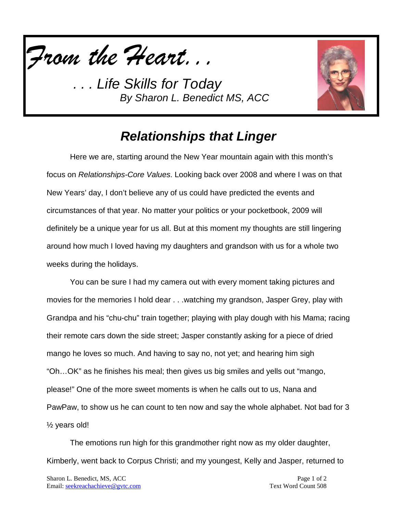

*. . . Life Skills for Today By Sharon L. Benedict MS, ACC*



## *Relationships that Linger*

Here we are, starting around the New Year mountain again with this month's focus on *Relationships-Core Values*. Looking back over 2008 and where I was on that New Years' day, I don't believe any of us could have predicted the events and circumstances of that year. No matter your politics or your pocketbook, 2009 will definitely be a unique year for us all. But at this moment my thoughts are still lingering around how much I loved having my daughters and grandson with us for a whole two weeks during the holidays.

You can be sure I had my camera out with every moment taking pictures and movies for the memories I hold dear . . .watching my grandson, Jasper Grey, play with Grandpa and his "chu-chu" train together; playing with play dough with his Mama; racing their remote cars down the side street; Jasper constantly asking for a piece of dried mango he loves so much. And having to say no, not yet; and hearing him sigh "Oh…OK" as he finishes his meal; then gives us big smiles and yells out "mango, please!" One of the more sweet moments is when he calls out to us, Nana and PawPaw, to show us he can count to ten now and say the whole alphabet. Not bad for 3 ½ years old!

The emotions run high for this grandmother right now as my older daughter, Kimberly, went back to Corpus Christi; and my youngest, Kelly and Jasper, returned to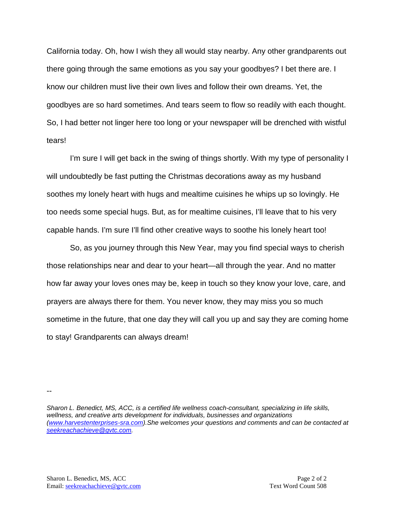California today. Oh, how I wish they all would stay nearby. Any other grandparents out there going through the same emotions as you say your goodbyes? I bet there are. I know our children must live their own lives and follow their own dreams. Yet, the goodbyes are so hard sometimes. And tears seem to flow so readily with each thought. So, I had better not linger here too long or your newspaper will be drenched with wistful tears!

I'm sure I will get back in the swing of things shortly. With my type of personality I will undoubtedly be fast putting the Christmas decorations away as my husband soothes my lonely heart with hugs and mealtime cuisines he whips up so lovingly. He too needs some special hugs. But, as for mealtime cuisines, I'll leave that to his very capable hands. I'm sure I'll find other creative ways to soothe his lonely heart too!

So, as you journey through this New Year, may you find special ways to cherish those relationships near and dear to your heart—all through the year. And no matter how far away your loves ones may be, keep in touch so they know your love, care, and prayers are always there for them. You never know, they may miss you so much sometime in the future, that one day they will call you up and say they are coming home to stay! Grandparents can always dream!

*Sharon L. Benedict, MS, ACC, is a certified life wellness coach-consultant, specializing in life skills, wellness, and creative arts development for individuals, businesses and organizations [\(www.harvestenterprises-sra.com\)](http://www.harvestenterprises-sra.com/).She welcomes your questions and comments and can be contacted at [seekreachachieve@gvtc.com.](mailto:seekreachachieve@gvtc.com)*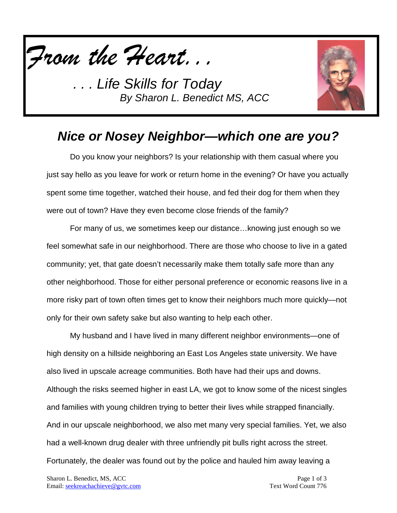

*. . . Life Skills for Today By Sharon L. Benedict MS, ACC*



# *Nice or Nosey Neighbor—which one are you?*

Do you know your neighbors? Is your relationship with them casual where you just say hello as you leave for work or return home in the evening? Or have you actually spent some time together, watched their house, and fed their dog for them when they were out of town? Have they even become close friends of the family?

For many of us, we sometimes keep our distance…knowing just enough so we feel somewhat safe in our neighborhood. There are those who choose to live in a gated community; yet, that gate doesn't necessarily make them totally safe more than any other neighborhood. Those for either personal preference or economic reasons live in a more risky part of town often times get to know their neighbors much more quickly—not only for their own safety sake but also wanting to help each other.

My husband and I have lived in many different neighbor environments—one of high density on a hillside neighboring an East Los Angeles state university. We have also lived in upscale acreage communities. Both have had their ups and downs. Although the risks seemed higher in east LA, we got to know some of the nicest singles and families with young children trying to better their lives while strapped financially. And in our upscale neighborhood, we also met many very special families. Yet, we also had a well-known drug dealer with three unfriendly pit bulls right across the street. Fortunately, the dealer was found out by the police and hauled him away leaving a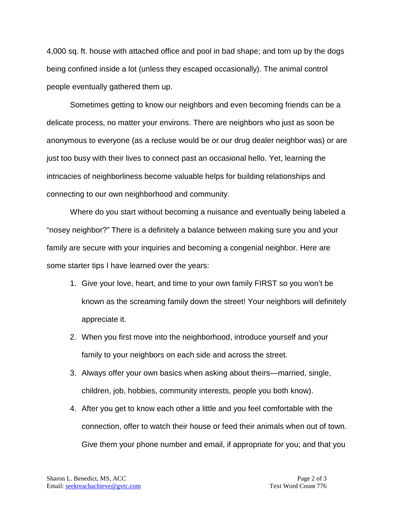4,000 sq. ft. house with attached office and pool in bad shape; and torn up by the dogs being confined inside a lot (unless they escaped occasionally). The animal control people eventually gathered them up.

Sometimes getting to know our neighbors and even becoming friends can be a delicate process, no matter your environs. There are neighbors who just as soon be anonymous to everyone (as a recluse would be or our drug dealer neighbor was) or are just too busy with their lives to connect past an occasional hello. Yet, learning the intricacies of neighborliness become valuable helps for building relationships and connecting to our own neighborhood and community.

Where do you start without becoming a nuisance and eventually being labeled a "nosey neighbor?" There is a definitely a balance between making sure you and your family are secure with your inquiries and becoming a congenial neighbor. Here are some starter tips I have learned over the years:

- 1. Give your love, heart, and time to your own family FIRST so you won't be known as the screaming family down the street! Your neighbors will definitely appreciate it.
- 2. When you first move into the neighborhood, introduce yourself and your family to your neighbors on each side and across the street.
- 3. Always offer your own basics when asking about theirs—married, single, children, job, hobbies, community interests, people you both know).
- 4. After you get to know each other a little and you feel comfortable with the connection, offer to watch their house or feed their animals when out of town. Give them your phone number and email, if appropriate for you; and that you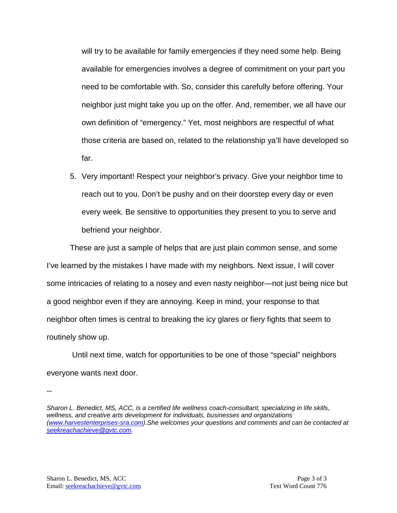will try to be available for family emergencies if they need some help. Being available for emergencies involves a degree of commitment on your part you need to be comfortable with. So, consider this carefully before offering. Your neighbor just might take you up on the offer. And, remember, we all have our own definition of "emergency." Yet, most neighbors are respectful of what those criteria are based on, related to the relationship ya'll have developed so far.

5. Very important! Respect your neighbor's privacy. Give your neighbor time to reach out to you. Don't be pushy and on their doorstep every day or even every week. Be sensitive to opportunities they present to you to serve and befriend your neighbor.

These are just a sample of helps that are just plain common sense, and some I've learned by the mistakes I have made with my neighbors. Next issue, I will cover some intricacies of relating to a nosey and even nasty neighbor—not just being nice but a good neighbor even if they are annoying. Keep in mind, your response to that neighbor often times is central to breaking the icy glares or fiery fights that seem to routinely show up.

Until next time, watch for opportunities to be one of those "special" neighbors everyone wants next door.

*Sharon L. Benedict, MS, ACC, is a certified life wellness coach-consultant, specializing in life skills, wellness, and creative arts development for individuals, businesses and organizations [\(www.harvestenterprises-sra.com\)](http://www.harvestenterprises-sra.com/).She welcomes your questions and comments and can be contacted at [seekreachachieve@gvtc.com.](mailto:seekreachachieve@gvtc.com)*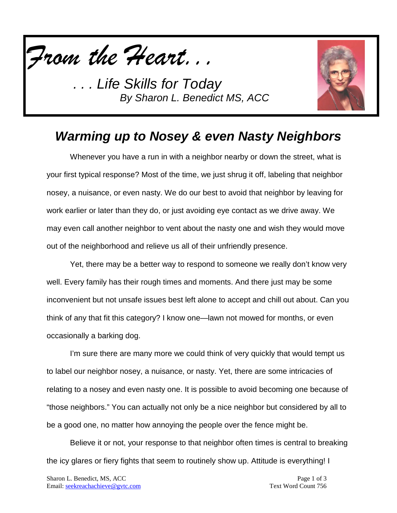

*. . . Life Skills for Today By Sharon L. Benedict MS, ACC*



### *Warming up to Nosey & even Nasty Neighbors*

Whenever you have a run in with a neighbor nearby or down the street, what is your first typical response? Most of the time, we just shrug it off, labeling that neighbor nosey, a nuisance, or even nasty. We do our best to avoid that neighbor by leaving for work earlier or later than they do, or just avoiding eye contact as we drive away. We may even call another neighbor to vent about the nasty one and wish they would move out of the neighborhood and relieve us all of their unfriendly presence.

Yet, there may be a better way to respond to someone we really don't know very well. Every family has their rough times and moments. And there just may be some inconvenient but not unsafe issues best left alone to accept and chill out about. Can you think of any that fit this category? I know one—lawn not mowed for months, or even occasionally a barking dog.

I'm sure there are many more we could think of very quickly that would tempt us to label our neighbor nosey, a nuisance, or nasty. Yet, there are some intricacies of relating to a nosey and even nasty one. It is possible to avoid becoming one because of "those neighbors." You can actually not only be a nice neighbor but considered by all to be a good one, no matter how annoying the people over the fence might be.

Believe it or not, your response to that neighbor often times is central to breaking the icy glares or fiery fights that seem to routinely show up. Attitude is everything! I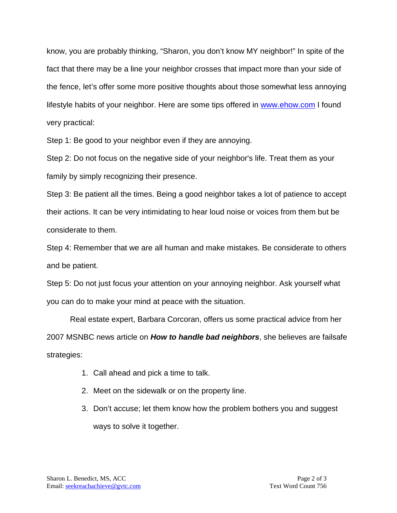know, you are probably thinking, "Sharon, you don't know MY neighbor!" In spite of the fact that there may be a line your neighbor crosses that impact more than your side of the fence, let's offer some more positive thoughts about those somewhat less annoying lifestyle habits of your neighbor. Here are some tips offered in [www.ehow.com](http://www.ehow.com/) I found very practical:

Step 1: Be good to your neighbor even if they are annoying.

Step 2: Do not focus on the negative side of your neighbor's life. Treat them as your family by simply recognizing their presence.

Step 3: Be patient all the times. Being a good neighbor takes a lot of patience to accept their actions. It can be very intimidating to hear loud noise or voices from them but be considerate to them.

Step 4: Remember that we are all human and make mistakes. Be considerate to others and be patient.

Step 5: Do not just focus your attention on your annoying neighbor. Ask yourself what you can do to make your mind at peace with the situation.

Real estate expert, Barbara Corcoran, offers us some practical advice from her 2007 MSNBC news article on *How to handle bad neighbors*, she believes are failsafe strategies:

- 1. Call ahead and pick a time to talk.
- 2. Meet on the sidewalk or on the property line.
- 3. Don't accuse; let them know how the problem bothers you and suggest ways to solve it together.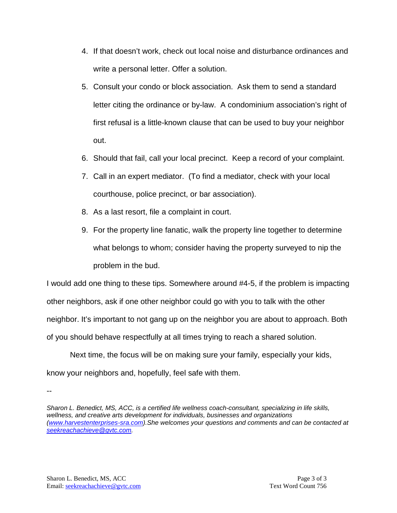- 4. If that doesn't work, check out local noise and disturbance ordinances and write a personal letter. Offer a solution.
- 5. Consult your condo or block association. Ask them to send a standard letter citing the ordinance or by-law. A condominium association's right of first refusal is a little-known clause that can be used to buy your neighbor out.
- 6. Should that fail, call your local precinct. Keep a record of your complaint.
- 7. Call in an expert mediator. (To find a mediator, check with your local courthouse, police precinct, or bar association).
- 8. As a last resort, file a complaint in court.
- 9. For the property line fanatic, walk the property line together to determine what belongs to whom; consider having the property surveyed to nip the problem in the bud.

I would add one thing to these tips. Somewhere around #4-5, if the problem is impacting other neighbors, ask if one other neighbor could go with you to talk with the other neighbor. It's important to not gang up on the neighbor you are about to approach. Both of you should behave respectfully at all times trying to reach a shared solution.

Next time, the focus will be on making sure your family, especially your kids, know your neighbors and, hopefully, feel safe with them.

*Sharon L. Benedict, MS, ACC, is a certified life wellness coach-consultant, specializing in life skills, wellness, and creative arts development for individuals, businesses and organizations [\(www.harvestenterprises-sra.com\)](http://www.harvestenterprises-sra.com/).She welcomes your questions and comments and can be contacted at [seekreachachieve@gvtc.com.](mailto:seekreachachieve@gvtc.com)*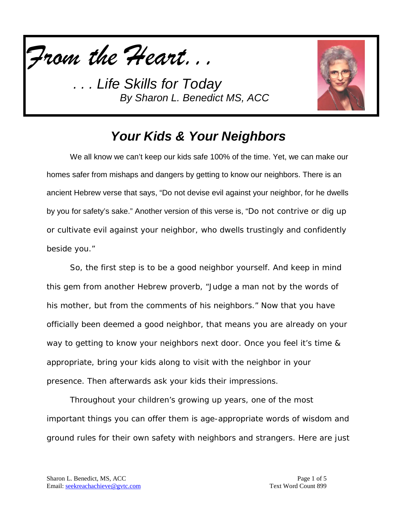

*Life Skills for Today By Sharon L. Benedict MS, ACC*



## *Your Kids & Your Neighbors*

We all know we can't keep our kids safe 100% of the time. Yet, we can make our homes safer from mishaps and dangers by getting to know our neighbors. There is an ancient Hebrew verse that says, "Do not devise evil against your neighbor, for he dwells by you for safety's sake." Another version of this verse is, "Do not contrive or dig up or cultivate evil against your neighbor, who dwells trustingly and confidently beside you."

So, the first step is to be a good neighbor yourself. And keep in mind this gem from another Hebrew proverb, "Judge a man not by the words of his mother, but from the comments of his neighbors." Now that you have officially been deemed a good neighbor, that means you are already on your way to getting to know your neighbors next door. Once you feel it's time & appropriate, bring your kids along to visit with the neighbor in your presence. Then afterwards ask your kids their impressions.

Throughout your children's growing up years, one of the most important things you can offer them is age-appropriate words of wisdom and ground rules for their own safety with neighbors and strangers. Here are just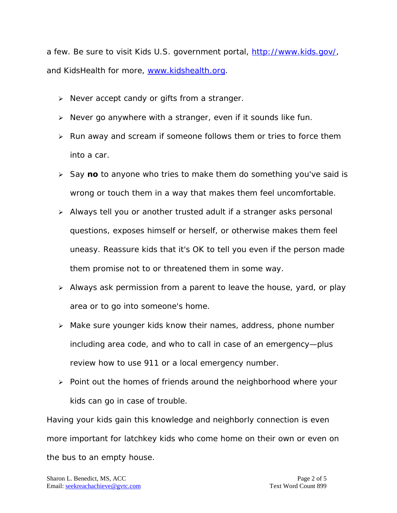a few. Be sure to visit Kids U.S. government portal, [http://www.kids.gov/,](http://www.kids.gov/) and KidsHealth for more, [www.kidshealth.org.](http://www.kidshealth.org/)

- $\triangleright$  Never accept candy or gifts from a stranger.
- $\triangleright$  Never go anywhere with a stranger, even if it sounds like fun.
- $\triangleright$  Run away and scream if someone follows them or tries to force them into a car.
- > Say no to anyone who tries to make them do something you've said is wrong or touch them in a way that makes them feel uncomfortable.
- Always tell you or another trusted adult if a stranger asks personal questions, exposes himself or herself, or otherwise makes them feel uneasy. Reassure kids that it's OK to tell you even if the person made them promise not to or threatened them in some way.
- $\triangleright$  Always ask permission from a parent to leave the house, yard, or play area or to go into someone's home.
- Make sure younger kids know their names, address, phone number including area code, and who to call in case of an emergency—plus review how to use 911 or a local emergency number.
- $\triangleright$  Point out the homes of friends around the neighborhood where your kids can go in case of trouble.

Having your kids gain this knowledge and neighborly connection is even more important for latchkey kids who come home on their own or even on the bus to an empty house.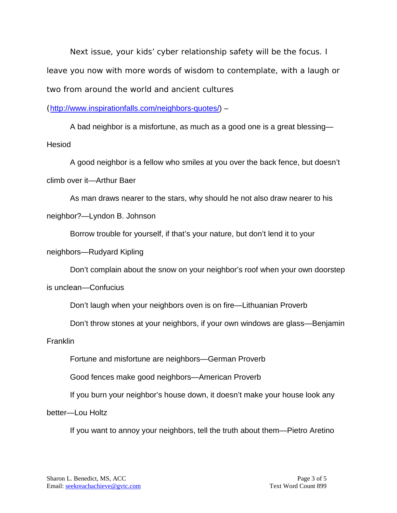Next issue, your kids' cyber relationship safety will be the focus. I leave you now with more words of wisdom to contemplate, with a laugh or two from around the world and ancient cultures

([http://www.inspirationfalls.com/neighbors-quotes/\)](http://www.inspirationfalls.com/neighbors-quotes/) –

A bad neighbor is a misfortune, as much as a good one is a great blessing— Hesiod

A good neighbor is a fellow who smiles at you over the back fence, but doesn't climb over it—Arthur Baer

As man draws nearer to the stars, why should he not also draw nearer to his neighbor?—Lyndon B. Johnson

Borrow trouble for yourself, if that's your nature, but don't lend it to your

neighbors—Rudyard Kipling

Don't complain about the snow on your neighbor's roof when your own doorstep

is unclean—Confucius

Don't laugh when your neighbors oven is on fire—Lithuanian Proverb

Don't throw stones at your neighbors, if your own windows are glass—Benjamin

**Franklin** 

Fortune and misfortune are neighbors—German Proverb

Good fences make good neighbors—American Proverb

If you burn your neighbor's house down, it doesn't make your house look any

better—Lou Holtz

If you want to annoy your neighbors, tell the truth about them—Pietro Aretino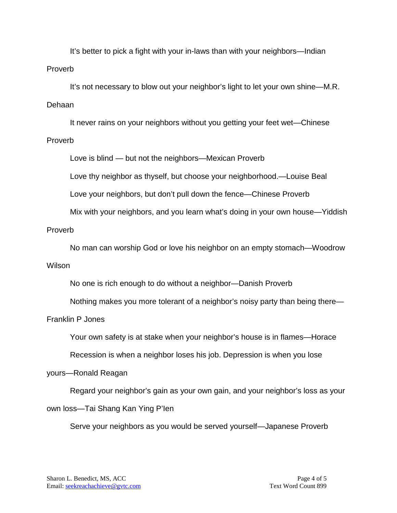It's better to pick a fight with your in-laws than with your neighbors—Indian Proverb

It's not necessary to blow out your neighbor's light to let your own shine—M.R. Dehaan

It never rains on your neighbors without you getting your feet wet—Chinese Proverb

Love is blind — but not the neighbors—Mexican Proverb

Love thy neighbor as thyself, but choose your neighborhood.—Louise Beal

Love your neighbors, but don't pull down the fence—Chinese Proverb

Mix with your neighbors, and you learn what's doing in your own house—Yiddish

#### Proverb

No man can worship God or love his neighbor on an empty stomach—Woodrow Wilson

No one is rich enough to do without a neighbor—Danish Proverb

Nothing makes you more tolerant of a neighbor's noisy party than being there—

### Franklin P Jones

Your own safety is at stake when your neighbor's house is in flames—Horace

Recession is when a neighbor loses his job. Depression is when you lose

### yours—Ronald Reagan

Regard your neighbor's gain as your own gain, and your neighbor's loss as your

### own loss—Tai Shang Kan Ying P'Ien

Serve your neighbors as you would be served yourself—Japanese Proverb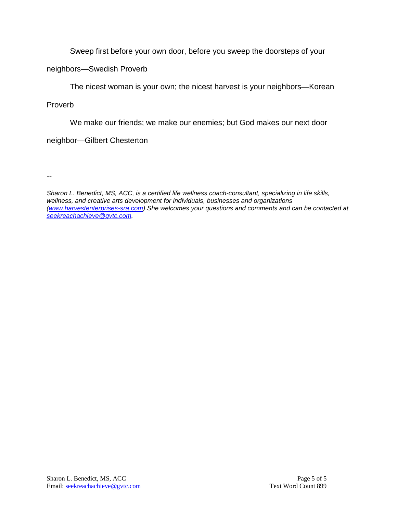Sweep first before your own door, before you sweep the doorsteps of your

neighbors—Swedish Proverb

The nicest woman is your own; the nicest harvest is your neighbors—Korean

Proverb

We make our friends; we make our enemies; but God makes our next door

neighbor—Gilbert Chesterton

--

*Sharon L. Benedict, MS, ACC, is a certified life wellness coach-consultant, specializing in life skills, wellness, and creative arts development for individuals, businesses and organizations [\(www.harvestenterprises-sra.com\)](http://www.harvestenterprises-sra.com/).She welcomes your questions and comments and can be contacted at [seekreachachieve@gvtc.com.](mailto:seekreachachieve@gvtc.com)*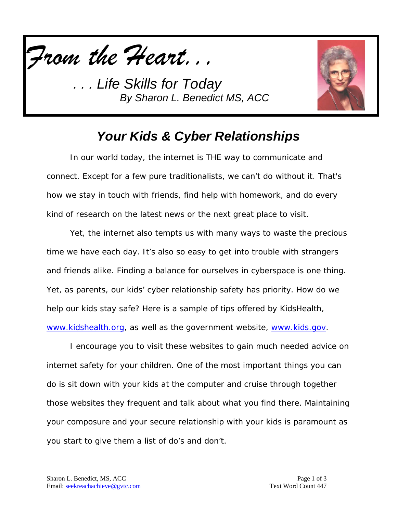

*Life Skills for Today By Sharon L. Benedict MS, ACC*



# *Your Kids & Cyber Relationships*

In our world today, the internet is THE way to communicate and connect. Except for a few pure traditionalists, we can't do without it. That's how we stay in touch with friends, find help with homework, and do every kind of research on the latest news or the next great place to visit.

Yet, the internet also tempts us with many ways to waste the precious time we have each day. It's also so easy to get into trouble with strangers and friends alike. Finding a balance for ourselves in cyberspace is one thing. Yet, as parents, our kids' cyber relationship safety has priority. How do we help our kids stay safe? Here is a sample of tips offered by KidsHealth, [www.kidshealth.org,](http://www.kidshealth.org/) as well as the government website, [www.kids.gov.](http://www.kids.gov/)

I encourage you to visit these websites to gain much needed advice on internet safety for your children. One of the most important things you can do is sit down with your kids at the computer and cruise through together those websites they frequent and talk about what you find there. Maintaining your composure and your secure relationship with your kids is paramount as you start to give them a list of do's and don't.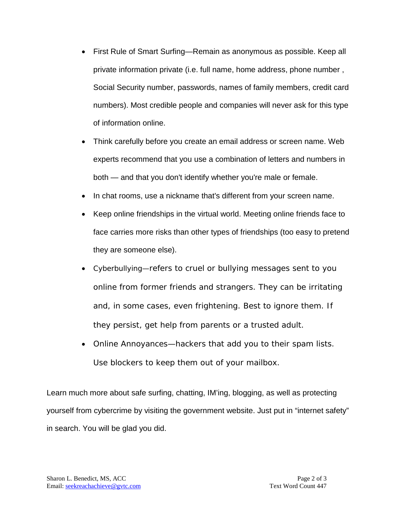- First Rule of Smart Surfing—Remain as anonymous as possible. Keep all private information private (i.e. full name, home address, phone number , Social Security number, passwords, names of family members, credit card numbers). Most credible people and companies will never ask for this type of information online.
- Think carefully before you create an email address or screen name. Web experts recommend that you use a combination of letters and numbers in both — and that you don't identify whether you're male or female.
- In chat rooms, use a nickname that's different from your screen name.
- Keep online friendships in the virtual world. Meeting online friends face to face carries more risks than other types of friendships (too easy to pretend they are someone else).
- Cyberbullying—refers to cruel or bullying messages sent to you online from former friends and strangers. They can be irritating and, in some cases, even frightening. Best to ignore them. If they persist, get help from parents or a trusted adult.
- Online Annoyances—hackers that add you to their spam lists. Use blockers to keep them out of your mailbox.

Learn much more about safe surfing, chatting, IM'ing, blogging, as well as protecting yourself from cybercrime by visiting the government website. Just put in "internet safety" in search. You will be glad you did.